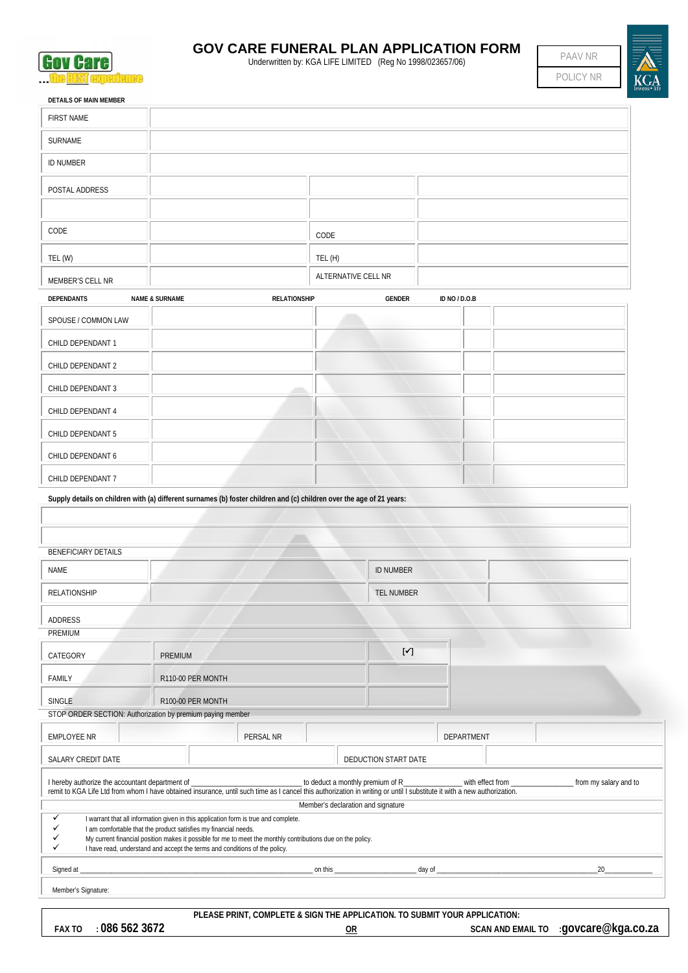

## **GOV CARE FUNERAL PLAN APPLICATION FORM**

**GOV CATE:** Underwritten by: KGA LIFE LIMITED (Reg No 1998/023657/06)



| <b>DETAILS OF MAIN MEMBER</b>                                                                                                                                                                                                                                                                                                                                                      |                           |                     |                                    |                                   |               |  |  |
|------------------------------------------------------------------------------------------------------------------------------------------------------------------------------------------------------------------------------------------------------------------------------------------------------------------------------------------------------------------------------------|---------------------------|---------------------|------------------------------------|-----------------------------------|---------------|--|--|
| <b>FIRST NAME</b>                                                                                                                                                                                                                                                                                                                                                                  |                           |                     |                                    |                                   |               |  |  |
| SURNAME                                                                                                                                                                                                                                                                                                                                                                            |                           |                     |                                    |                                   |               |  |  |
| <b>ID NUMBER</b>                                                                                                                                                                                                                                                                                                                                                                   |                           |                     |                                    |                                   |               |  |  |
| POSTAL ADDRESS                                                                                                                                                                                                                                                                                                                                                                     |                           |                     |                                    |                                   |               |  |  |
|                                                                                                                                                                                                                                                                                                                                                                                    |                           |                     |                                    |                                   |               |  |  |
| CODE                                                                                                                                                                                                                                                                                                                                                                               |                           |                     | CODE                               |                                   |               |  |  |
| TEL (W)                                                                                                                                                                                                                                                                                                                                                                            |                           |                     | TEL (H)                            |                                   |               |  |  |
| MEMBER'S CELL NR                                                                                                                                                                                                                                                                                                                                                                   |                           |                     | ALTERNATIVE CELL NR                |                                   |               |  |  |
| <b>DEPENDANTS</b>                                                                                                                                                                                                                                                                                                                                                                  | <b>NAME &amp; SURNAME</b> | <b>RELATIONSHIP</b> |                                    | <b>GENDER</b>                     | ID NO / D.O.B |  |  |
| SPOUSE / COMMON LAW                                                                                                                                                                                                                                                                                                                                                                |                           |                     |                                    |                                   |               |  |  |
| CHILD DEPENDANT 1                                                                                                                                                                                                                                                                                                                                                                  |                           |                     |                                    |                                   |               |  |  |
| CHILD DEPENDANT 2                                                                                                                                                                                                                                                                                                                                                                  |                           |                     |                                    |                                   |               |  |  |
| CHILD DEPENDANT 3                                                                                                                                                                                                                                                                                                                                                                  |                           |                     |                                    |                                   |               |  |  |
| CHILD DEPENDANT 4                                                                                                                                                                                                                                                                                                                                                                  |                           |                     |                                    |                                   |               |  |  |
| CHILD DEPENDANT 5                                                                                                                                                                                                                                                                                                                                                                  |                           |                     |                                    |                                   |               |  |  |
| CHILD DEPENDANT 6                                                                                                                                                                                                                                                                                                                                                                  |                           |                     |                                    |                                   |               |  |  |
| CHILD DEPENDANT 7                                                                                                                                                                                                                                                                                                                                                                  |                           |                     |                                    |                                   |               |  |  |
| Supply details on children with (a) different surnames (b) foster children and (c) children over the age of 21 years:                                                                                                                                                                                                                                                              |                           |                     |                                    |                                   |               |  |  |
|                                                                                                                                                                                                                                                                                                                                                                                    |                           |                     |                                    |                                   |               |  |  |
|                                                                                                                                                                                                                                                                                                                                                                                    |                           |                     |                                    |                                   |               |  |  |
| <b>BENEFICIARY DETAILS</b><br><b>NAME</b>                                                                                                                                                                                                                                                                                                                                          |                           |                     |                                    | <b>ID NUMBER</b>                  |               |  |  |
| <b>RELATIONSHIP</b>                                                                                                                                                                                                                                                                                                                                                                |                           |                     |                                    | TEL NUMBER                        |               |  |  |
|                                                                                                                                                                                                                                                                                                                                                                                    |                           |                     |                                    |                                   |               |  |  |
| ADDRESS<br>PREMIUM                                                                                                                                                                                                                                                                                                                                                                 |                           |                     |                                    |                                   |               |  |  |
| CATEGORY                                                                                                                                                                                                                                                                                                                                                                           | <b>PREMIUM</b>            |                     |                                    | $\left[\blacktriangledown\right]$ |               |  |  |
| FAMILY                                                                                                                                                                                                                                                                                                                                                                             | R110-00 PER MONTH         |                     |                                    |                                   |               |  |  |
| SINGLE                                                                                                                                                                                                                                                                                                                                                                             | R100-00 PER MONTH         |                     |                                    |                                   |               |  |  |
| STOP ORDER SECTION: Authorization by premium paying member                                                                                                                                                                                                                                                                                                                         |                           |                     |                                    |                                   |               |  |  |
| <b>EMPLOYEE NR</b>                                                                                                                                                                                                                                                                                                                                                                 |                           | PERSAL NR           |                                    |                                   | DEPARTMENT    |  |  |
| SALARY CREDIT DATE                                                                                                                                                                                                                                                                                                                                                                 |                           |                     |                                    | DEDUCTION START DATE              |               |  |  |
| I hereby authorize the accountant department of<br>to deduct a monthly premium of R_<br>_ with effect from _<br>from my salary and to<br>remit to KGA Life Ltd from whom I have obtained insurance, until such time as I cancel this authorization in writing or until I substitute it with a new authorization.                                                                   |                           |                     |                                    |                                   |               |  |  |
|                                                                                                                                                                                                                                                                                                                                                                                    |                           |                     | Member's declaration and signature |                                   |               |  |  |
| $\checkmark$<br>I warrant that all information given in this application form is true and complete.<br>✓<br>I am comfortable that the product satisfies my financial needs.<br>✓<br>My current financial position makes it possible for me to meet the monthly contributions due on the policy.<br>✓<br>I have read, understand and accept the terms and conditions of the policy. |                           |                     |                                    |                                   |               |  |  |
| 20<br>Signed at<br>on this<br>day of _                                                                                                                                                                                                                                                                                                                                             |                           |                     |                                    |                                   |               |  |  |
|                                                                                                                                                                                                                                                                                                                                                                                    |                           |                     |                                    |                                   |               |  |  |

Member's Signature:

**PLEASE PRINT, COMPLETE & SIGN THE APPLICATION. TO SUBMIT YOUR APPLICATION:**